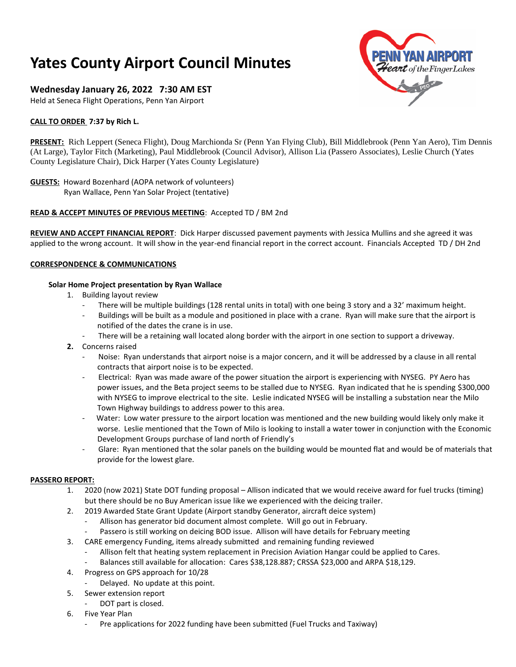# **Yates County Airport Council Minutes**

## **Wednesday January 26, 2022 7:30 AM EST**

Held at Seneca Flight Operations, Penn Yan Airport

## **CALL TO ORDER 7:37 by Rich L.**



**PRESENT:** Rich Leppert (Seneca Flight), Doug Marchionda Sr (Penn Yan Flying Club), Bill Middlebrook (Penn Yan Aero), Tim Dennis (At Large), Taylor Fitch (Marketing), Paul Middlebrook (Council Advisor), Allison Lia (Passero Associates), Leslie Church (Yates County Legislature Chair), Dick Harper (Yates County Legislature)

## **GUESTS:** Howard Bozenhard (AOPA network of volunteers)

Ryan Wallace, Penn Yan Solar Project (tentative)

#### **READ & ACCEPT MINUTES OF PREVIOUS MEETING**: Accepted TD / BM 2nd

**REVIEW AND ACCEPT FINANCIAL REPORT**: Dick Harper discussed pavement payments with Jessica Mullins and she agreed it was applied to the wrong account. It will show in the year-end financial report in the correct account. Financials Accepted TD / DH 2nd

#### **CORRESPONDENCE & COMMUNICATIONS**

#### **Solar Home Project presentation by Ryan Wallace**

- 1. Building layout review
	- There will be multiple buildings (128 rental units in total) with one being 3 story and a 32' maximum height.
	- Buildings will be built as a module and positioned in place with a crane. Ryan will make sure that the airport is notified of the dates the crane is in use.
	- There will be a retaining wall located along border with the airport in one section to support a driveway.
- **2.** Concerns raised
	- Noise: Ryan understands that airport noise is a major concern, and it will be addressed by a clause in all rental contracts that airport noise is to be expected.
	- Electrical: Ryan was made aware of the power situation the airport is experiencing with NYSEG. PY Aero has power issues, and the Beta project seems to be stalled due to NYSEG. Ryan indicated that he is spending \$300,000 with NYSEG to improve electrical to the site. Leslie indicated NYSEG will be installing a substation near the Milo Town Highway buildings to address power to this area.
	- Water: Low water pressure to the airport location was mentioned and the new building would likely only make it worse. Leslie mentioned that the Town of Milo is looking to install a water tower in conjunction with the Economic Development Groups purchase of land north of Friendly's
	- Glare: Ryan mentioned that the solar panels on the building would be mounted flat and would be of materials that provide for the lowest glare.

#### **PASSERO REPORT:**

- 1. 2020 (now 2021) State DOT funding proposal Allison indicated that we would receive award for fuel trucks (timing) but there should be no Buy American issue like we experienced with the deicing trailer.
- 2. 2019 Awarded State Grant Update (Airport standby Generator, aircraft deice system)
	- Allison has generator bid document almost complete. Will go out in February.
	- Passero is still working on deicing BOD issue. Allison will have details for February meeting
- 3. CARE emergency Funding, items already submitted and remaining funding reviewed
	- Allison felt that heating system replacement in Precision Aviation Hangar could be applied to Cares.
		- Balances still available for allocation: Cares \$38,128.887; CRSSA \$23,000 and ARPA \$18,129.
- 4. Progress on GPS approach for 10/28
	- Delayed. No update at this point.
- 5. Sewer extension report
	- DOT part is closed.
- 6. Five Year Plan
	- Pre applications for 2022 funding have been submitted (Fuel Trucks and Taxiway)